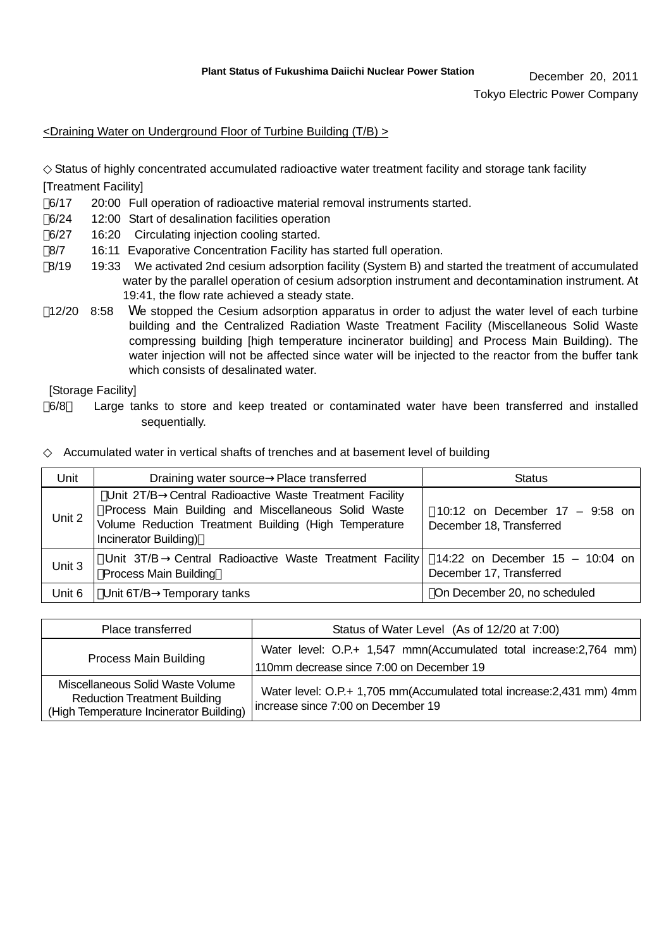December 20, 2011

Tokyo Electric Power Company

## <Draining Water on Underground Floor of Turbine Building (T/B) >

Status of highly concentrated accumulated radioactive water treatment facility and storage tank facility [Treatment Facility]

- 6/17 20:00 Full operation of radioactive material removal instruments started.
- 6/24 12:00 Start of desalination facilities operation
- 6/27 16:20 Circulating injection cooling started.
- 8/7 16:11 Evaporative Concentration Facility has started full operation.
- 8/19 19:33 We activated 2nd cesium adsorption facility (System B) and started the treatment of accumulated water by the parallel operation of cesium adsorption instrument and decontamination instrument. At 19:41, the flow rate achieved a steady state.
- 12/20 8:58 We stopped the Cesium adsorption apparatus in order to adjust the water level of each turbine building and the Centralized Radiation Waste Treatment Facility (Miscellaneous Solid Waste compressing building [high temperature incinerator building] and Process Main Building). The water injection will not be affected since water will be injected to the reactor from the buffer tank which consists of desalinated water.

[Storage Facility]

6/8~ Large tanks to store and keep treated or contaminated water have been transferred and installed sequentially.

Accumulated water in vertical shafts of trenches and at basement level of building

| Unit   | Draining water source Place transferred                                                                                                                                                         | <b>Status</b>                                              |
|--------|-------------------------------------------------------------------------------------------------------------------------------------------------------------------------------------------------|------------------------------------------------------------|
| Unit 2 | Unit 2T/B Central Radioactive Waste Treatment Facility<br>Process Main Building and Miscellaneous Solid Waste<br>Volume Reduction Treatment Building (High Temperature<br>Incinerator Building) | 10:12 on December 17 - 9:58 on<br>December 18, Transferred |
| Unit 3 | Unit 3T/B Central Radioactive Waste Treatment Facility   14:22 on December 15 - 10:04 on<br><b>Process Main Building</b>                                                                        | December 17, Transferred                                   |
| Unit 6 | Unit 6T/B Temporary tanks                                                                                                                                                                       | On December 20, no scheduled                               |

| Place transferred                                                                                                  | Status of Water Level (As of 12/20 at 7:00)                                                                    |  |  |
|--------------------------------------------------------------------------------------------------------------------|----------------------------------------------------------------------------------------------------------------|--|--|
| Process Main Building                                                                                              | Water level: O.P.+ 1,547 mmn(Accumulated total increase: 2,764 mm)<br>110mm decrease since 7:00 on December 19 |  |  |
| Miscellaneous Solid Waste Volume<br><b>Reduction Treatment Building</b><br>(High Temperature Incinerator Building) | Water level: O.P.+ 1,705 mm(Accumulated total increase: 2,431 mm) 4mm<br>increase since 7:00 on December 19    |  |  |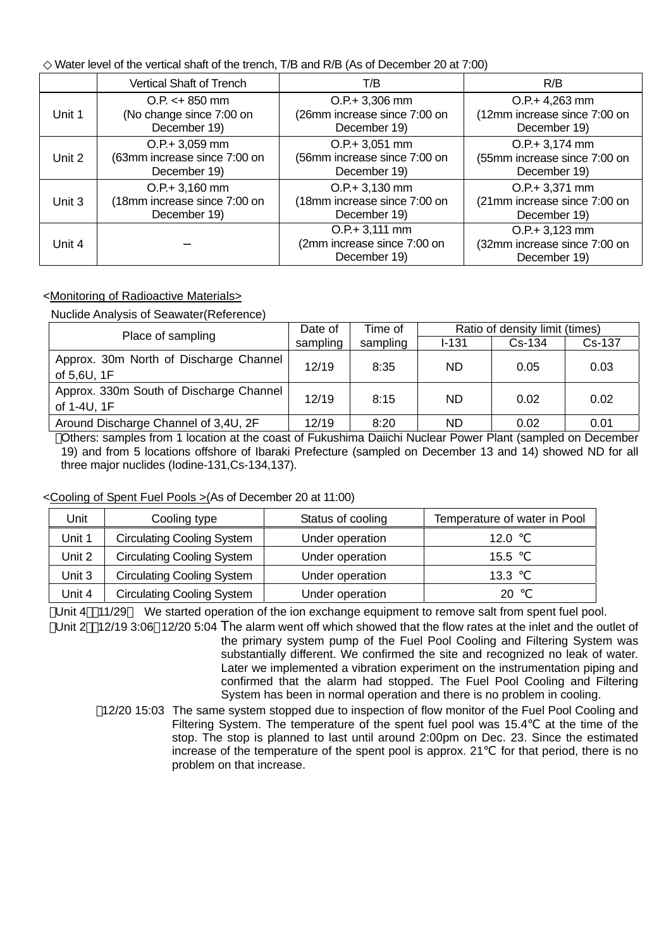| Water level of the vertical shaft of the trench, T/B and R/B (As of December 20 at 7:00) |
|------------------------------------------------------------------------------------------|
|------------------------------------------------------------------------------------------|

|        | Vertical Shaft of Trench     | T/B                                                              | R/B                                                              |
|--------|------------------------------|------------------------------------------------------------------|------------------------------------------------------------------|
| Unit 1 | $O.P. < +850$ mm             | $O.P + 3,306$ mm                                                 | $O.P. + 4,263$ mm                                                |
|        | (No change since 7:00 on     | (26mm increase since 7:00 on                                     | (12mm increase since 7:00 on                                     |
|        | December 19)                 | December 19)                                                     | December 19)                                                     |
| Unit 2 | $O.P + 3,059$ mm             | $O.P + 3,051$ mm                                                 | $O.P + 3,174$ mm                                                 |
|        | (63mm increase since 7:00 on | (56mm increase since 7:00 on                                     | (55mm increase since 7:00 on                                     |
|        | December 19)                 | December 19)                                                     | December 19)                                                     |
| Unit 3 | $O.P + 3,160$ mm             | $O.P + 3,130$ mm                                                 | $O.P + 3,371$ mm                                                 |
|        | (18mm increase since 7:00 on | (18mm increase since 7:00 on                                     | (21mm increase since 7:00 on                                     |
|        | December 19)                 | December 19)                                                     | December 19)                                                     |
| Unit 4 |                              | $O.P. + 3,111$ mm<br>(2mm increase since 7:00 on<br>December 19) | $O.P + 3,123$ mm<br>(32mm increase since 7:00 on<br>December 19) |

## <Monitoring of Radioactive Materials>

Nuclide Analysis of Seawater(Reference)

| Place of sampling                                      | Date of  | Time of  | Ratio of density limit (times) |          |        |
|--------------------------------------------------------|----------|----------|--------------------------------|----------|--------|
|                                                        | sampling | sampling | $1 - 131$                      | $Cs-134$ | Cs-137 |
| Approx. 30m North of Discharge Channel<br>of 5,6U, 1F  | 12/19    | 8:35     | ND                             | 0.05     | 0.03   |
| Approx. 330m South of Discharge Channel<br>of 1-4U, 1F | 12/19    | 8:15     | ND                             | 0.02     | 0.02   |
| Around Discharge Channel of 3,4U, 2F                   | 12/19    | 8:20     | ND                             | 0.02     | 0.01   |

Others: samples from 1 location at the coast of Fukushima Daiichi Nuclear Power Plant (sampled on December 19) and from 5 locations offshore of Ibaraki Prefecture (sampled on December 13 and 14) showed ND for all three major nuclides (Iodine-131,Cs-134,137).

<Cooling of Spent Fuel Pools >(As of December 20 at 11:00)

| Jnit   | Cooling type                      | Status of cooling | Temperature of water in Pool |
|--------|-----------------------------------|-------------------|------------------------------|
| Unit 1 | <b>Circulating Cooling System</b> | Under operation   | 12.0                         |
| Unit 2 | <b>Circulating Cooling System</b> | Under operation   | 15.5                         |
| Unit 3 | <b>Circulating Cooling System</b> | Under operation   | 13.3                         |
| Unit 4 | <b>Circulating Cooling System</b> | Under operation   | 20                           |

Unit 4 11/29 We started operation of the ion exchange equipment to remove salt from spent fuel pool.

Unit 2 12/19 3:06 12/20 5:04 The alarm went off which showed that the flow rates at the inlet and the outlet of the primary system pump of the Fuel Pool Cooling and Filtering System was substantially different. We confirmed the site and recognized no leak of water. Later we implemented a vibration experiment on the instrumentation piping and confirmed that the alarm had stopped. The Fuel Pool Cooling and Filtering System has been in normal operation and there is no problem in cooling.

12/20 15:03 The same system stopped due to inspection of flow monitor of the Fuel Pool Cooling and Filtering System. The temperature of the spent fuel pool was 15.4 at the time of the stop. The stop is planned to last until around 2:00pm on Dec. 23. Since the estimated increase of the temperature of the spent pool is approx. 21 for that period, there is no problem on that increase.